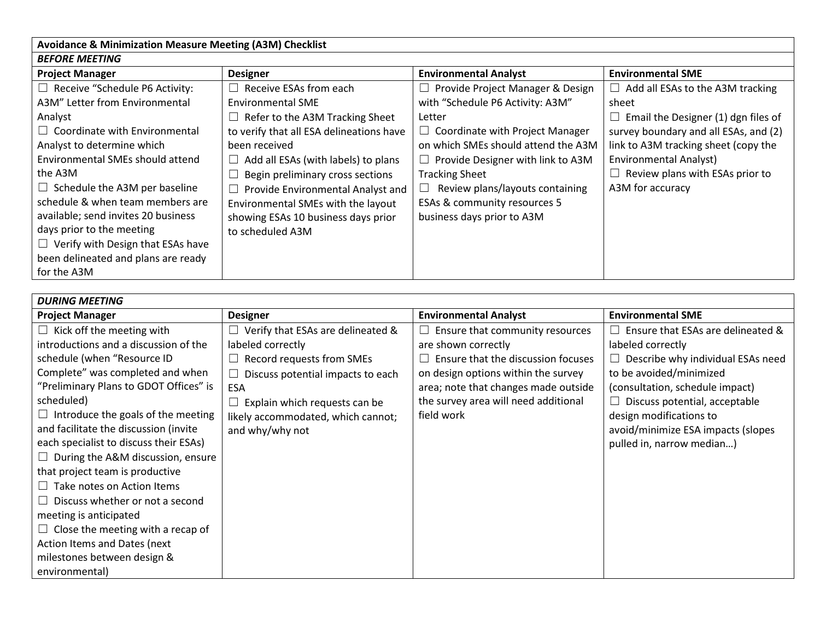| <b>Avoidance &amp; Minimization Measure Meeting (A3M) Checklist</b> |                                          |                                          |                                          |  |  |  |
|---------------------------------------------------------------------|------------------------------------------|------------------------------------------|------------------------------------------|--|--|--|
| <b>BEFORE MEETING</b>                                               |                                          |                                          |                                          |  |  |  |
| <b>Project Manager</b>                                              | <b>Designer</b>                          | <b>Environmental Analyst</b>             | <b>Environmental SME</b>                 |  |  |  |
| $\Box$ Receive "Schedule P6 Activity:                               | Receive ESAs from each                   | Provide Project Manager & Design         | $\Box$ Add all ESAs to the A3M tracking  |  |  |  |
| A3M" Letter from Environmental                                      | Environmental SME                        | with "Schedule P6 Activity: A3M"         | sheet                                    |  |  |  |
| Analyst                                                             | Refer to the A3M Tracking Sheet          | Letter                                   | Email the Designer (1) dgn files of<br>ப |  |  |  |
| $\Box$ Coordinate with Environmental                                | to verify that all ESA delineations have | $\Box$ Coordinate with Project Manager   | survey boundary and all ESAs, and (2)    |  |  |  |
| Analyst to determine which                                          | been received                            | on which SMEs should attend the A3M      | link to A3M tracking sheet (copy the     |  |  |  |
| Environmental SMEs should attend                                    | Add all ESAs (with labels) to plans      | $\Box$ Provide Designer with link to A3M | <b>Environmental Analyst)</b>            |  |  |  |
| the A3M                                                             | Begin preliminary cross sections         | <b>Tracking Sheet</b>                    | $\Box$ Review plans with ESAs prior to   |  |  |  |
| $\Box$ Schedule the A3M per baseline                                | Provide Environmental Analyst and        | Review plans/layouts containing<br>⊔     | A3M for accuracy                         |  |  |  |
| schedule & when team members are                                    | Environmental SMEs with the layout       | ESAs & community resources 5             |                                          |  |  |  |
| available; send invites 20 business                                 | showing ESAs 10 business days prior      | business days prior to A3M               |                                          |  |  |  |
| days prior to the meeting                                           | to scheduled A3M                         |                                          |                                          |  |  |  |
| $\Box$ Verify with Design that ESAs have                            |                                          |                                          |                                          |  |  |  |
| been delineated and plans are ready                                 |                                          |                                          |                                          |  |  |  |
| for the A3M                                                         |                                          |                                          |                                          |  |  |  |

| <b>DURING MEETING</b>                     |                                    |                                              |                                          |  |  |  |
|-------------------------------------------|------------------------------------|----------------------------------------------|------------------------------------------|--|--|--|
| <b>Project Manager</b>                    | <b>Designer</b>                    | <b>Environmental Analyst</b>                 | <b>Environmental SME</b>                 |  |  |  |
| $\Box$ Kick off the meeting with          | Verify that ESAs are delineated &  | Ensure that community resources<br>$\Box$    | Ensure that ESAs are delineated &        |  |  |  |
| introductions and a discussion of the     | labeled correctly                  | are shown correctly                          | labeled correctly                        |  |  |  |
| schedule (when "Resource ID               | Record requests from SMEs          | Ensure that the discussion focuses<br>$\Box$ | $\Box$ Describe why individual ESAs need |  |  |  |
| Complete" was completed and when          | Discuss potential impacts to each  | on design options within the survey          | to be avoided/minimized                  |  |  |  |
| "Preliminary Plans to GDOT Offices" is    | <b>ESA</b>                         | area; note that changes made outside         | (consultation, schedule impact)          |  |  |  |
| scheduled)                                | Explain which requests can be      | the survey area will need additional         | Discuss potential, acceptable            |  |  |  |
| $\Box$ Introduce the goals of the meeting | likely accommodated, which cannot; | field work                                   | design modifications to                  |  |  |  |
| and facilitate the discussion (invite     | and why/why not                    |                                              | avoid/minimize ESA impacts (slopes       |  |  |  |
| each specialist to discuss their ESAs)    |                                    |                                              | pulled in, narrow median)                |  |  |  |
| $\Box$ During the A&M discussion, ensure  |                                    |                                              |                                          |  |  |  |
| that project team is productive           |                                    |                                              |                                          |  |  |  |
| Take notes on Action Items<br>$\perp$     |                                    |                                              |                                          |  |  |  |
| Discuss whether or not a second<br>ш      |                                    |                                              |                                          |  |  |  |
| meeting is anticipated                    |                                    |                                              |                                          |  |  |  |
| $\Box$ Close the meeting with a recap of  |                                    |                                              |                                          |  |  |  |
| Action Items and Dates (next              |                                    |                                              |                                          |  |  |  |
| milestones between design &               |                                    |                                              |                                          |  |  |  |
| environmental)                            |                                    |                                              |                                          |  |  |  |